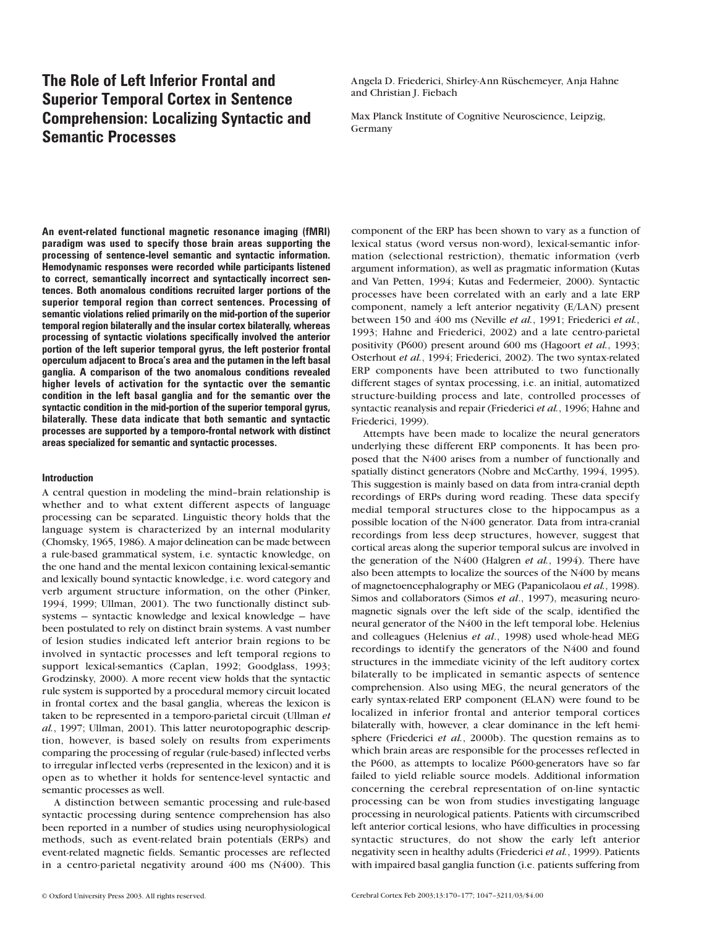# **The Role of Left Inferior Frontal and Superior Temporal Cortex in Sentence Comprehension: Localizing Syntactic and Semantic Processes**

**An event-related functional magnetic resonance imaging (fMRI) paradigm was used to specify those brain areas supporting the processing of sentence-level semantic and syntactic information. Hemodynamic responses were recorded while participants listened to correct, semantically incorrect and syntactically incorrect sentences. Both anomalous conditions recruited larger portions of the superior temporal region than correct sentences. Processing of semantic violations relied primarily on the mid-portion of the superior temporal region bilaterally and the insular cortex bilaterally, whereas processing of syntactic violations specifically involved the anterior portion of the left superior temporal gyrus, the left posterior frontal operculum adjacent to Broca's area and the putamen in the left basal ganglia. A comparison of the two anomalous conditions revealed higher levels of activation for the syntactic over the semantic condition in the left basal ganglia and for the semantic over the syntactic condition in the mid-portion of the superior temporal gyrus, bilaterally. These data indicate that both semantic and syntactic processes are supported by a temporo-frontal network with distinct areas specialized for semantic and syntactic processes.**

## **Introduction**

A central question in modeling the mind–brain relationship is whether and to what extent different aspects of language processing can be separated. Linguistic theory holds that the language system is characterized by an internal modularity (Chomsky, 1965, 1986). A major delineation can be made between a rule-based grammatical system, i.e. syntactic knowledge, on the one hand and the mental lexicon containing lexical-semantic and lexically bound syntactic knowledge, i.e. word category and verb argument structure information, on the other (Pinker, 1994, 1999; Ullman, 2001). The two functionally distinct subsystems — syntactic knowledge and lexical knowledge — have been postulated to rely on distinct brain systems. A vast number of lesion studies indicated left anterior brain regions to be involved in syntactic processes and left temporal regions to support lexical-semantics (Caplan, 1992; Goodglass, 1993; Grodzinsky, 2000). A more recent view holds that the syntactic rule system is supported by a procedural memory circuit located in frontal cortex and the basal ganglia, whereas the lexicon is taken to be represented in a temporo-parietal circuit (Ullman *et al.*, 1997; Ullman, 2001). This latter neurotopographic description, however, is based solely on results from experiments comparing the processing of regular (rule-based) inflected verbs to irregular inflected verbs (represented in the lexicon) and it is open as to whether it holds for sentence-level syntactic and semantic processes as well.

A distinction between semantic processing and rule-based syntactic processing during sentence comprehension has also been reported in a number of studies using neurophysiological methods, such as event-related brain potentials (ERPs) and event-related magnetic fields. Semantic processes are reflected in a centro-parietal negativity around 400 ms (N400). This Angela D. Friederici, Shirley-Ann Rüschemeyer, Anja Hahne and Christian J. Fiebach

Max Planck Institute of Cognitive Neuroscience, Leipzig, Germany

component of the ERP has been shown to vary as a function of lexical status (word versus non-word), lexical-semantic information (selectional restriction), thematic information (verb argument information), as well as pragmatic information (Kutas and Van Petten, 1994; Kutas and Federmeier, 2000). Syntactic processes have been correlated with an early and a late ERP component, namely a left anterior negativity (E/LAN) present between 150 and 400 ms (Neville *et al.*, 1991; Friederici *et al.*, 1993; Hahne and Friederici, 2002) and a late centro-parietal positivity (P600) present around 600 ms (Hagoort *et al.*, 1993; Osterhout *et al.*, 1994; Friederici, 2002). The two syntax-related ERP components have been attributed to two functionally different stages of syntax processing, i.e. an initial, automatized structure-building process and late, controlled processes of syntactic reanalysis and repair (Friederici *et al.*, 1996; Hahne and Friederici, 1999).

Attempts have been made to localize the neural generators underlying these different ERP components. It has been proposed that the N400 arises from a number of functionally and spatially distinct generators (Nobre and McCarthy, 1994, 1995). This suggestion is mainly based on data from intra-cranial depth recordings of ERPs during word reading. These data specify medial temporal structures close to the hippocampus as a possible location of the N400 generator. Data from intra-cranial recordings from less deep structures, however, suggest that cortical areas along the superior temporal sulcus are involved in the generation of the N400 (Halgren *et al.*, 1994). There have also been attempts to localize the sources of the N400 by means of magnetoencephalography or MEG (Papanicolaou *et al.*, 1998). Simos and collaborators (Simos *et al*., 1997), measuring neuromagnetic signals over the left side of the scalp, identified the neural generator of the N400 in the left temporal lobe. Helenius and colleagues (Helenius *et al*., 1998) used whole-head MEG recordings to identify the generators of the N400 and found structures in the immediate vicinity of the left auditory cortex bilaterally to be implicated in semantic aspects of sentence comprehension. Also using MEG, the neural generators of the early syntax-related ERP component (ELAN) were found to be localized in inferior frontal and anterior temporal cortices bilaterally with, however, a clear dominance in the left hemisphere (Friederici *et al.*, 2000b). The question remains as to which brain areas are responsible for the processes reflected in the P600, as attempts to localize P600-generators have so far failed to yield reliable source models. Additional information concerning the cerebral representation of on-line syntactic processing can be won from studies investigating language processing in neurological patients. Patients with circumscribed left anterior cortical lesions, who have difficulties in processing syntactic structures, do not show the early left anterior negativity seen in healthy adults (Friederici *et al.*, 1999). Patients with impaired basal ganglia function (i.e. patients suffering from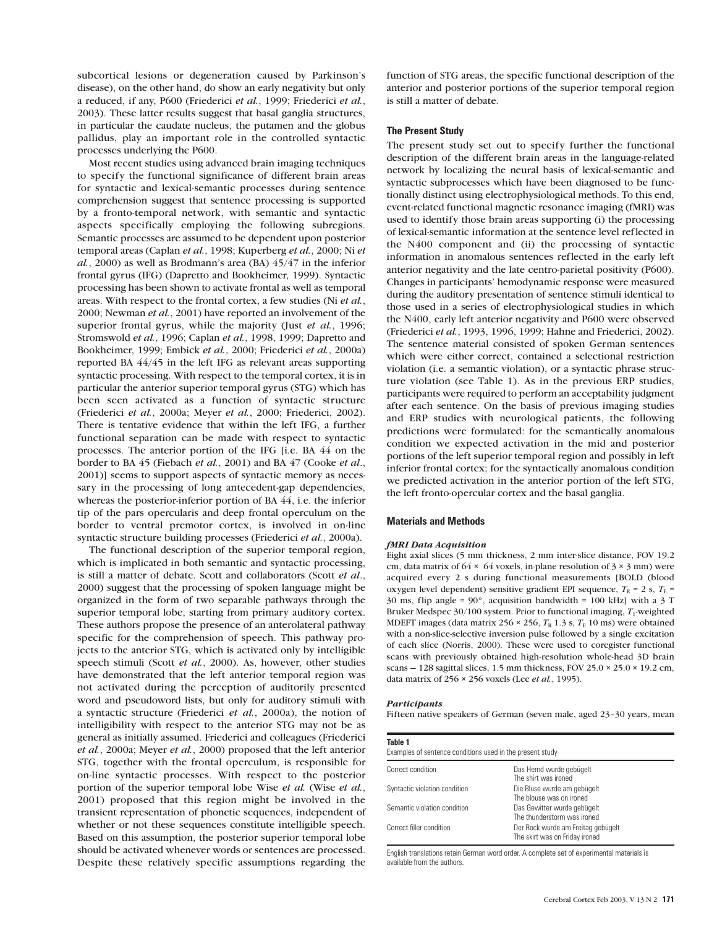subcortical lesions or degeneration caused by Parkinson's disease), on the other hand, do show an early negativity but only a reduced, if any, P600 (Friederici *et al.*, 1999; Friederici *et al.*, 2003). These latter results suggest that basal ganglia structures, in particular the caudate nucleus, the putamen and the globus pallidus, play an important role in the controlled syntactic processes underlying the P600.

Most recent studies using advanced brain imaging techniques to specify the functional significance of different brain areas for syntactic and lexical-semantic processes during sentence comprehension suggest that sentence processing is supported by a fronto-temporal network, with semantic and syntactic aspects specifically employing the following subregions. Semantic processes are assumed to be dependent upon posterior temporal areas (Caplan *et al.*, 1998; Kuperberg *et al.*, 2000; Ni *et al.*, 2000) as well as Brodmann's area (BA) 45/47 in the inferior frontal gyrus (IFG) (Dapretto and Bookheimer, 1999). Syntactic processing has been shown to activate frontal as well as temporal areas. With respect to the frontal cortex, a few studies (Ni *et al.*, 2000; Newman *et al.*, 2001) have reported an involvement of the superior frontal gyrus, while the majority (Just *et al.*, 1996; Stromswold *et al.*, 1996; Caplan *et al.*, 1998, 1999; Dapretto and Bookheimer, 1999; Embick *et al.*, 2000; Friederici *et al.*, 2000a) reported BA 44/45 in the left IFG as relevant areas supporting syntactic processing. With respect to the temporal cortex, it is in particular the anterior superior temporal gyrus (STG) which has been seen activated as a function of syntactic structure (Friederici *et al.*, 2000a; Meyer *et al.*, 2000; Friederici, 2002). There is tentative evidence that within the left IFG, a further functional separation can be made with respect to syntactic processes. The anterior portion of the IFG [i.e. BA 44 on the border to BA 45 (Fiebach *et al.*, 2001) and BA 47 (Cooke *et al*., 2001)] seems to support aspects of syntactic memory as necessary in the processing of long antecedent-gap dependencies, whereas the posterior-inferior portion of BA 44, i.e. the inferior tip of the pars opercularis and deep frontal operculum on the border to ventral premotor cortex, is involved in on-line syntactic structure building processes (Friederici *et al.*, 2000a).

The functional description of the superior temporal region, which is implicated in both semantic and syntactic processing, is still a matter of debate. Scott and collaborators (Scott *et al*., 2000) suggest that the processing of spoken language might be organized in the form of two separable pathways through the superior temporal lobe, starting from primary auditory cortex. These authors propose the presence of an anterolateral pathway specific for the comprehension of speech. This pathway projects to the anterior STG, which is activated only by intelligible speech stimuli (Scott *et al.*, 2000). As, however, other studies have demonstrated that the left anterior temporal region was not activated during the perception of auditorily presented word and pseudoword lists, but only for auditory stimuli with a syntactic structure (Friederici *et al.*, 2000a), the notion of intelligibility with respect to the anterior STG may not be as general as initially assumed. Friederici and colleagues (Friederici *et al.*, 2000a; Meyer *et al.*, 2000) proposed that the left anterior STG, together with the frontal operculum, is responsible for on-line syntactic processes. With respect to the posterior portion of the superior temporal lobe Wise *et al.* (Wise *et al.*, 2001) proposed that this region might be involved in the transient representation of phonetic sequences, independent of whether or not these sequences constitute intelligible speech. Based on this assumption, the posterior superior temporal lobe should be activated whenever words or sentences are processed. Despite these relatively specific assumptions regarding the

function of STG areas, the specific functional description of the anterior and posterior portions of the superior temporal region is still a matter of debate.

#### **The Present Study**

The present study set out to specify further the functional description of the different brain areas in the language-related network by localizing the neural basis of lexical-semantic and syntactic subprocesses which have been diagnosed to be functionally distinct using electrophysiological methods. To this end, event-related functional magnetic resonance imaging (fMRI) was used to identify those brain areas supporting (i) the processing of lexical-semantic information at the sentence level reflected in the N400 component and (ii) the processing of syntactic information in anomalous sentences reflected in the early left anterior negativity and the late centro-parietal positivity (P600). Changes in participants' hemodynamic response were measured during the auditory presentation of sentence stimuli identical to those used in a series of electrophysiological studies in which the N400, early left anterior negativity and P600 were observed (Friederici *et al.*, 1993, 1996, 1999; Hahne and Friederici, 2002). The sentence material consisted of spoken German sentences which were either correct, contained a selectional restriction violation (i.e. a semantic violation), or a syntactic phrase structure violation (see Table 1). As in the previous ERP studies, participants were required to perform an acceptability judgment after each sentence. On the basis of previous imaging studies and ERP studies with neurological patients, the following predictions were formulated: for the semantically anomalous condition we expected activation in the mid and posterior portions of the left superior temporal region and possibly in left inferior frontal cortex; for the syntactically anomalous condition we predicted activation in the anterior portion of the left STG, the left fronto-opercular cortex and the basal ganglia.

#### **Materials and Methods**

#### *fMRI Data Acquisition*

Eight axial slices (5 mm thickness, 2 mm inter-slice distance, FOV 19.2 cm, data matrix of  $64 \times 64$  voxels, in-plane resolution of  $3 \times 3$  mm) were acquired every 2 s during functional measurements [BOLD (blood oxygen level dependent) sensitive gradient EPI sequence,  $T_R$  = 2 s,  $T_E$  = 30 ms, flip angle = 90°, acquisition bandwidth = 100 kHz] with a 3 T Bruker Medspec 30/100 system. Prior to functional imaging,  $T_1$ -weighted MDEFT images (data matrix 256  $\times$  256,  $T_R$  1.3 s,  $T_E$  10 ms) were obtained with a non-slice-selective inversion pulse followed by a single excitation of each slice (Norris, 2000). These were used to coregister functional scans with previously obtained high-resolution whole-head 3D brain scans  $-128$  sagittal slices, 1.5 mm thickness, FOV 25.0  $\times$  25.0  $\times$  19.2 cm, data matrix of 256 × 256 voxels (Lee *et al.*, 1995).

#### *Participants*

Fifteen native speakers of German (seven male, aged 23–30 years, mean

| Table 1<br>Examples of sentence conditions used in the present study |                                                                      |  |  |  |  |  |
|----------------------------------------------------------------------|----------------------------------------------------------------------|--|--|--|--|--|
| Correct condition                                                    | Das Hemd wurde gebügelt<br>The shirt was ironed                      |  |  |  |  |  |
| Syntactic violation condition                                        | Die Bluse wurde am gebügelt<br>The blouse was on ironed              |  |  |  |  |  |
| Semantic violation condition                                         | Das Gewitter wurde gebügelt<br>The thunderstorm was ironed           |  |  |  |  |  |
| Correct filler condition                                             | Der Rock wurde am Freitag gebügelt<br>The skirt was on Friday ironed |  |  |  |  |  |

English translations retain German word order. A complete set of experimental materials is available from the authors.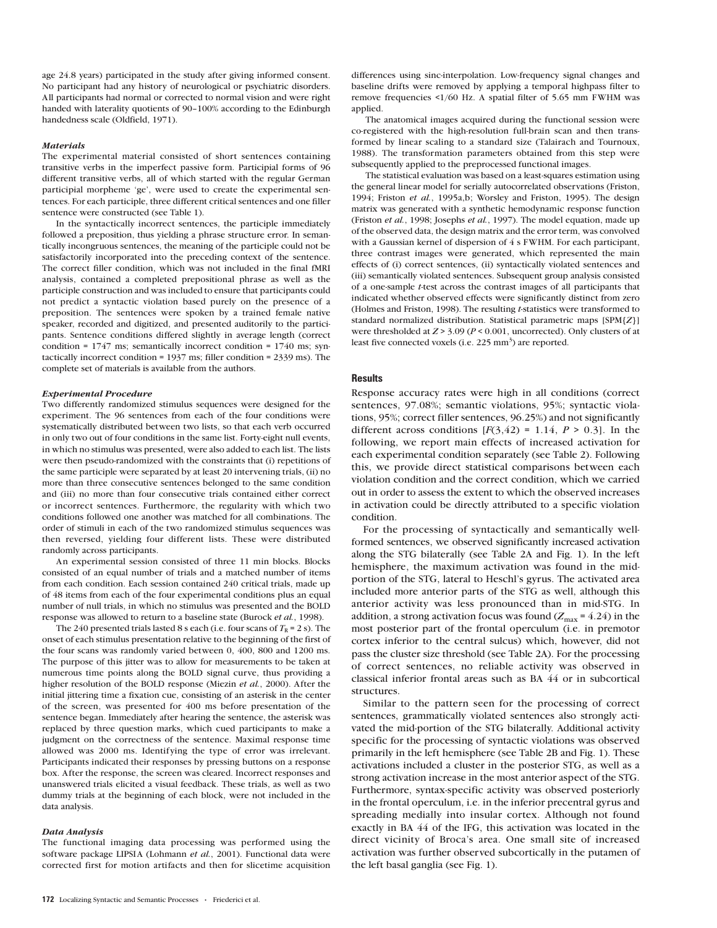age 24.8 years) participated in the study after giving informed consent. No participant had any history of neurological or psychiatric disorders. All participants had normal or corrected to normal vision and were right handed with laterality quotients of 90–100% according to the Edinburgh handedness scale (Oldfield, 1971).

#### *Materials*

The experimental material consisted of short sentences containing transitive verbs in the imperfect passive form. Participial forms of 96 different transitive verbs, all of which started with the regular German participial morpheme 'ge', were used to create the experimental sentences. For each participle, three different critical sentences and one filler sentence were constructed (see Table 1).

In the syntactically incorrect sentences, the participle immediately followed a preposition, thus yielding a phrase structure error. In semantically incongruous sentences, the meaning of the participle could not be satisfactorily incorporated into the preceding context of the sentence. The correct filler condition, which was not included in the final fMRI analysis, contained a completed prepositional phrase as well as the participle construction and was included to ensure that participants could not predict a syntactic violation based purely on the presence of a preposition. The sentences were spoken by a trained female native speaker, recorded and digitized, and presented auditorily to the participants. Sentence conditions differed slightly in average length (correct condition = 1747 ms; semantically incorrect condition = 1740 ms; syntactically incorrect condition = 1937 ms; filler condition = 2339 ms). The complete set of materials is available from the authors.

## *Experimental Procedure*

Two differently randomized stimulus sequences were designed for the experiment. The 96 sentences from each of the four conditions were systematically distributed between two lists, so that each verb occurred in only two out of four conditions in the same list. Forty-eight null events, in which no stimulus was presented, were also added to each list. The lists were then pseudo-randomized with the constraints that (i) repetitions of the same participle were separated by at least 20 intervening trials, (ii) no more than three consecutive sentences belonged to the same condition and (iii) no more than four consecutive trials contained either correct or incorrect sentences. Furthermore, the regularity with which two conditions followed one another was matched for all combinations. The order of stimuli in each of the two randomized stimulus sequences was then reversed, yielding four different lists. These were distributed randomly across participants.

An experimental session consisted of three 11 min blocks. Blocks consisted of an equal number of trials and a matched number of items from each condition. Each session contained 240 critical trials, made up of 48 items from each of the four experimental conditions plus an equal number of null trials, in which no stimulus was presented and the BOLD response was allowed to return to a baseline state (Burock *et al.*, 1998).

The 240 presented trials lasted 8 s each (i.e. four scans of  $T_R = 2$  s). The onset of each stimulus presentation relative to the beginning of the first of the four scans was randomly varied between 0, 400, 800 and 1200 ms. The purpose of this jitter was to allow for measurements to be taken at numerous time points along the BOLD signal curve, thus providing a higher resolution of the BOLD response (Miezin *et al.*, 2000). After the initial jittering time a fixation cue, consisting of an asterisk in the center of the screen, was presented for 400 ms before presentation of the sentence began. Immediately after hearing the sentence, the asterisk was replaced by three question marks, which cued participants to make a judgment on the correctness of the sentence. Maximal response time allowed was 2000 ms. Identifying the type of error was irrelevant. Participants indicated their responses by pressing buttons on a response box. After the response, the screen was cleared. Incorrect responses and unanswered trials elicited a visual feedback. These trials, as well as two dummy trials at the beginning of each block, were not included in the data analysis.

#### *Data Analysis*

The functional imaging data processing was performed using the software package LIPSIA (Lohmann *et al.*, 2001). Functional data were corrected first for motion artifacts and then for slicetime acquisition

differences using sinc-interpolation. Low-frequency signal changes and baseline drifts were removed by applying a temporal highpass filter to remove frequencies <1/60 Hz. A spatial filter of 5.65 mm FWHM was applied.

The anatomical images acquired during the functional session were co-registered with the high-resolution full-brain scan and then transformed by linear scaling to a standard size (Talairach and Tournoux, 1988). The transformation parameters obtained from this step were subsequently applied to the preprocessed functional images.

The statistical evaluation was based on a least-squares estimation using the general linear model for serially autocorrelated observations (Friston, 1994; Friston *et al.*, 1995a,b; Worsley and Friston, 1995). The design matrix was generated with a synthetic hemodynamic response function (Friston *et al.*, 1998; Josephs *et al.*, 1997). The model equation, made up of the observed data, the design matrix and the error term, was convolved with a Gaussian kernel of dispersion of 4 s FWHM. For each participant, three contrast images were generated, which represented the main effects of (i) correct sentences, (ii) syntactically violated sentences and (iii) semantically violated sentences. Subsequent group analysis consisted of a one-sample *t*-test across the contrast images of all participants that indicated whether observed effects were significantly distinct from zero (Holmes and Friston, 1998). The resulting *t*-statistics were transformed to standard normalized distribution. Statistical parametric maps [SPM{*Z*}] were thresholded at *Z* > 3.09 (*P* < 0.001, uncorrected). Only clusters of at least five connected voxels (i.e.  $225 \text{ mm}^3$ ) are reported.

## **Results**

Response accuracy rates were high in all conditions (correct sentences, 97.08%; semantic violations, 95%; syntactic violations, 95%; correct filler sentences, 96.25%) and not significantly different across conditions  $[F(3,42) = 1.14, P > 0.3]$ . In the following, we report main effects of increased activation for each experimental condition separately (see Table 2). Following this, we provide direct statistical comparisons between each violation condition and the correct condition, which we carried out in order to assess the extent to which the observed increases in activation could be directly attributed to a specific violation condition.

For the processing of syntactically and semantically wellformed sentences, we observed significantly increased activation along the STG bilaterally (see Table 2A and Fig. 1). In the left hemisphere, the maximum activation was found in the midportion of the STG, lateral to Heschl's gyrus. The activated area included more anterior parts of the STG as well, although this anterior activity was less pronounced than in mid-STG. In addition, a strong activation focus was found  $(Z_{\text{max}} = 4.24)$  in the most posterior part of the frontal operculum (i.e. in premotor cortex inferior to the central sulcus) which, however, did not pass the cluster size threshold (see Table 2A). For the processing of correct sentences, no reliable activity was observed in classical inferior frontal areas such as BA 44 or in subcortical structures.

Similar to the pattern seen for the processing of correct sentences, grammatically violated sentences also strongly activated the mid-portion of the STG bilaterally. Additional activity specific for the processing of syntactic violations was observed primarily in the left hemisphere (see Table 2B and Fig. 1). These activations included a cluster in the posterior STG, as well as a strong activation increase in the most anterior aspect of the STG. Furthermore, syntax-specific activity was observed posteriorly in the frontal operculum, i.e. in the inferior precentral gyrus and spreading medially into insular cortex. Although not found exactly in BA 44 of the IFG, this activation was located in the direct vicinity of Broca's area. One small site of increased activation was further observed subcortically in the putamen of the left basal ganglia (see Fig. 1).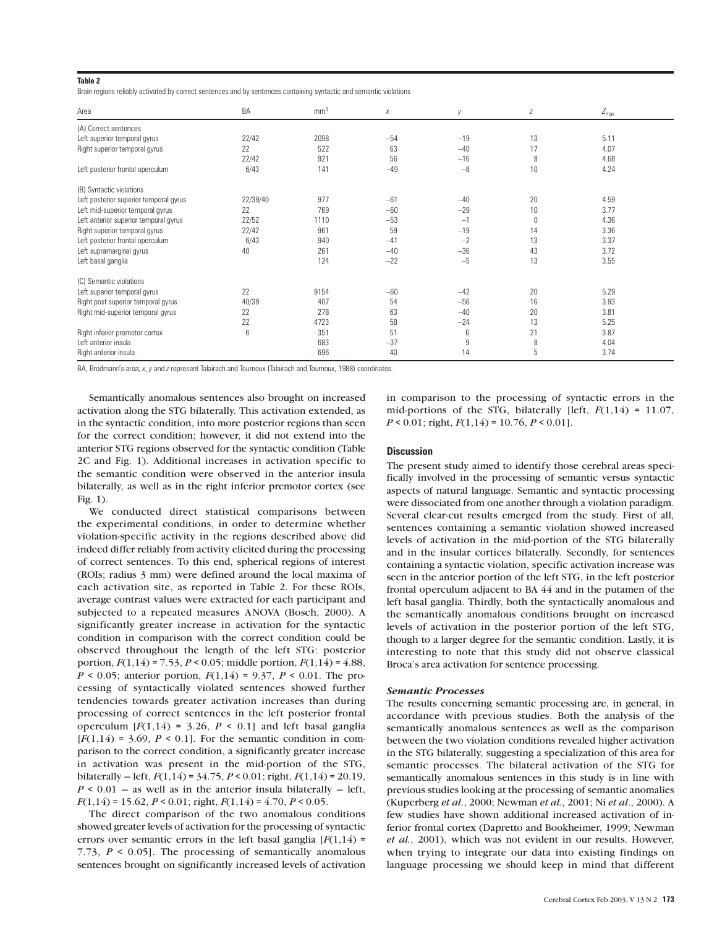### **Table 2**

Brain regions reliably activated by correct sentences and by sentences containing syntactic and semantic violations

| Area                                   | <b>BA</b> | mm <sup>3</sup> | Χ     | y     | Ζ        | $Z_{\text{max}}$ |  |
|----------------------------------------|-----------|-----------------|-------|-------|----------|------------------|--|
| (A) Correct sentences                  |           |                 |       |       |          |                  |  |
| Left superior temporal gyrus           | 22/42     | 2098            | $-54$ | $-19$ | 13       | 5.11             |  |
| Right superior temporal gyrus          | 22        | 522             | 63    | $-40$ | 17       | 4.07             |  |
|                                        | 22/42     | 921             | 56    | $-16$ | 8        | 4.68             |  |
| Left posterior frontal operculum       | 6/43      | 141             | $-49$ | $-8$  | 10       | 4.24             |  |
| (B) Syntactic violations               |           |                 |       |       |          |                  |  |
| Left posterior superior temporal gyrus | 22/39/40  | 977             | $-61$ | $-40$ | 20       | 4.59             |  |
| Left mid-superior temporal gyrus       | 22        | 769             | $-60$ | $-29$ | 10       | 3.77             |  |
| Left anterior superior temporal gyrus  | 22/52     | 1110            | $-53$ | $-1$  | $\Omega$ | 4.36             |  |
| Right superior temporal gyrus          | 22/42     | 961             | 59    | $-19$ | 14       | 3.36             |  |
| Left posterior frontal operculum       | 6/43      | 940             | $-41$ | $-2$  | 13       | 3.37             |  |
| Left supramarginal gyrus               | 40        | 261             | $-40$ | $-36$ | 43       | 3.72             |  |
| Left basal ganglia                     |           | 124             | $-22$ | $-5$  | 13       | 3.55             |  |
| (C) Semantic violations                |           |                 |       |       |          |                  |  |
| Left superior temporal gyrus           | 22        | 9154            | $-60$ | $-42$ | 20       | 5.29             |  |
| Right post superior temporal gyrus     | 40/39     | 407             | 54    | $-56$ | 16       | 3.93             |  |
| Right mid-superior temporal gyrus      | 22        | 278             | 63    | $-40$ | 20       | 3.81             |  |
|                                        | 22        | 4723            | 58    | $-24$ | 13       | 5.25             |  |
| Right inferior premotor cortex         | 6         | 351             | 51    | 6     | 21       | 3.87             |  |
| Left anterior insula                   |           | 683             | $-37$ | 9     | 8        | 4.04             |  |
| Right anterior insula                  |           | 696             | 40    | 14    | 5        | 3.74             |  |

BA, Brodmann's area; *x*, *y* and *z* represent Talairach and Tournoux (Talairach and Tournoux, 1988) coordinates.

Semantically anomalous sentences also brought on increased activation along the STG bilaterally. This activation extended, as in the syntactic condition, into more posterior regions than seen for the correct condition; however, it did not extend into the anterior STG regions observed for the syntactic condition (Table 2C and Fig. 1). Additional increases in activation specific to the semantic condition were observed in the anterior insula bilaterally, as well as in the right inferior premotor cortex (see Fig. 1).

We conducted direct statistical comparisons between the experimental conditions, in order to determine whether violation-specific activity in the regions described above did indeed differ reliably from activity elicited during the processing of correct sentences. To this end, spherical regions of interest (ROIs; radius 3 mm) were defined around the local maxima of each activation site, as reported in Table 2. For these ROIs, average contrast values were extracted for each participant and subjected to a repeated measures ANOVA (Bosch, 2000). A significantly greater increase in activation for the syntactic condition in comparison with the correct condition could be observed throughout the length of the left STG: posterior portion, *F*(1,14) = 7.53, *P* < 0.05; middle portion, *F*(1,14) = 4.88, *P* < 0.05; anterior portion, *F*(1,14) = 9.37, *P* < 0.01. The processing of syntactically violated sentences showed further tendencies towards greater activation increases than during processing of correct sentences in the left posterior frontal operculum  $[F(1,14) = 3.26, P < 0.1]$  and left basal ganglia  $[F(1,14) = 3.69, P < 0.1]$ . For the semantic condition in comparison to the correct condition, a significantly greater increase in activation was present in the mid-portion of the STG, bilaterally — left, *F*(1,14) = 34.75, *P* < 0.01; right, *F*(1,14) = 20.19,  $P \le 0.01$  – as well as in the anterior insula bilaterally – left, *F*(1,14) = 15.62, *P* < 0.01; right, *F*(1,14) = 4.70, *P* < 0.05.

The direct comparison of the two anomalous conditions showed greater levels of activation for the processing of syntactic errors over semantic errors in the left basal ganglia  $[F(1,14) =$ 7.73, *P* < 0.05]. The processing of semantically anomalous sentences brought on significantly increased levels of activation in comparison to the processing of syntactic errors in the mid-portions of the STG, bilaterally [left,  $F(1,14) = 11.07$ , *P* < 0.01; right, *F*(1,14) = 10.76, *P* < 0.01].

## **Discussion**

The present study aimed to identify those cerebral areas specifically involved in the processing of semantic versus syntactic aspects of natural language. Semantic and syntactic processing were dissociated from one another through a violation paradigm. Several clear-cut results emerged from the study. First of all, sentences containing a semantic violation showed increased levels of activation in the mid-portion of the STG bilaterally and in the insular cortices bilaterally. Secondly, for sentences containing a syntactic violation, specific activation increase was seen in the anterior portion of the left STG, in the left posterior frontal operculum adjacent to BA 44 and in the putamen of the left basal ganglia. Thirdly, both the syntactically anomalous and the semantically anomalous conditions brought on increased levels of activation in the posterior portion of the left STG, though to a larger degree for the semantic condition. Lastly, it is interesting to note that this study did not observe classical Broca's area activation for sentence processing.

#### *Semantic Processes*

The results concerning semantic processing are, in general, in accordance with previous studies. Both the analysis of the semantically anomalous sentences as well as the comparison between the two violation conditions revealed higher activation in the STG bilaterally, suggesting a specialization of this area for semantic processes. The bilateral activation of the STG for semantically anomalous sentences in this study is in line with previous studies looking at the processing of semantic anomalies (Kuperberg *et al*., 2000; Newman *et al.*, 2001; Ni *et al*., 2000). A few studies have shown additional increased activation of inferior frontal cortex (Dapretto and Bookheimer, 1999; Newman *et al.*, 2001), which was not evident in our results. However, when trying to integrate our data into existing findings on language processing we should keep in mind that different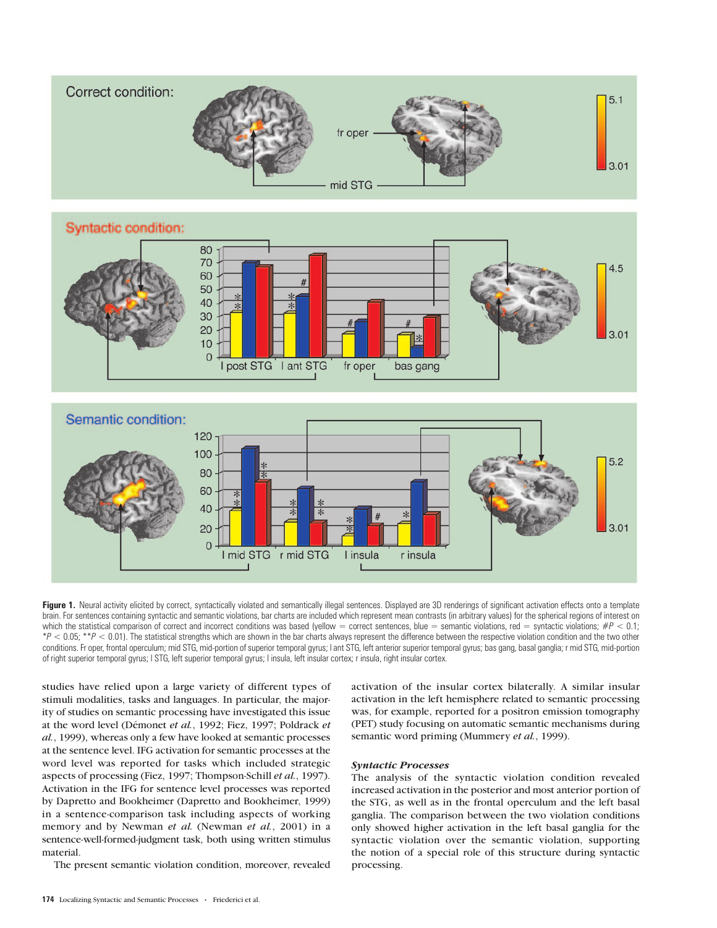





Figure 1. Neural activity elicited by correct, syntactically violated and semantically illegal sentences. Displayed are 3D renderings of significant activation effects onto a template brain. For sentences containing syntactic and semantic violations, bar charts are included which represent mean contrasts (in arbitrary values) for the spherical regions of interest on which the statistical comparison of correct and incorrect conditions was based (yellow = correct sentences, blue = semantic violations, red = syntactic violations;  $\#P < 0.1$ ;  $*P < 0.05$ ;  $*P < 0.01$ ). The statistical strengths which are shown in the bar charts always represent the difference between the respective violation condition and the two other conditions. Fr oper, frontal operculum; mid STG, mid-portion of superior temporal gyrus; l ant STG, left anterior superior temporal gyrus; bas gang, basal ganglia; r mid STG, mid-portion of right superior temporal gyrus; l STG, left superior temporal gyrus; l insula, left insular cortex; r insula, right insular cortex.

studies have relied upon a large variety of different types of stimuli modalities, tasks and languages. In particular, the majority of studies on semantic processing have investigated this issue at the word level (Démonet *et al.*, 1992; Fiez, 1997; Poldrack *et al.*, 1999), whereas only a few have looked at semantic processes at the sentence level. IFG activation for semantic processes at the word level was reported for tasks which included strategic aspects of processing (Fiez, 1997; Thompson-Schill *et al.*, 1997). Activation in the IFG for sentence level processes was reported by Dapretto and Bookheimer (Dapretto and Bookheimer, 1999) in a sentence-comparison task including aspects of working memory and by Newman *et al.* (Newman *et al.*, 2001) in a sentence-well-formed-judgment task, both using written stimulus material.

The present semantic violation condition, moreover, revealed

activation of the insular cortex bilaterally. A similar insular activation in the left hemisphere related to semantic processing was, for example, reported for a positron emission tomography (PET) study focusing on automatic semantic mechanisms during semantic word priming (Mummery *et al.*, 1999).

## *Syntactic Processes*

The analysis of the syntactic violation condition revealed increased activation in the posterior and most anterior portion of the STG, as well as in the frontal operculum and the left basal ganglia. The comparison between the two violation conditions only showed higher activation in the left basal ganglia for the syntactic violation over the semantic violation, supporting the notion of a special role of this structure during syntactic processing.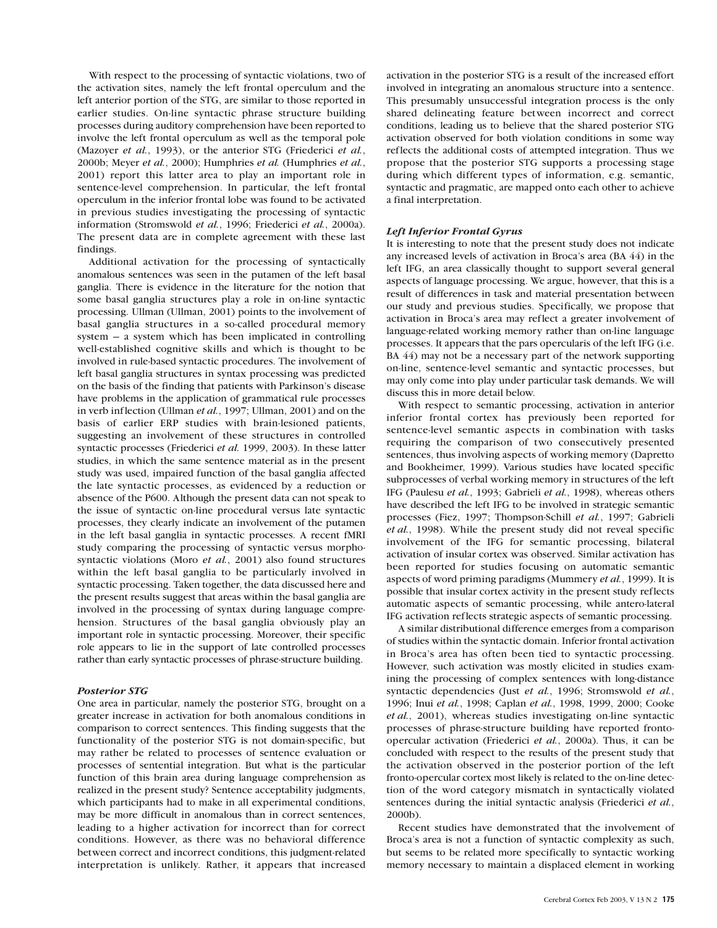With respect to the processing of syntactic violations, two of the activation sites, namely the left frontal operculum and the left anterior portion of the STG, are similar to those reported in earlier studies. On-line syntactic phrase structure building processes during auditory comprehension have been reported to involve the left frontal operculum as well as the temporal pole (Mazoyer *et al.*, 1993), or the anterior STG (Friederici *et al.*, 2000b; Meyer *et al.*, 2000); Humphries *et al.* (Humphries *et al.*, 2001) report this latter area to play an important role in sentence-level comprehension. In particular, the left frontal operculum in the inferior frontal lobe was found to be activated in previous studies investigating the processing of syntactic information (Stromswold *et al.*, 1996; Friederici *et al.*, 2000a). The present data are in complete agreement with these last findings.

Additional activation for the processing of syntactically anomalous sentences was seen in the putamen of the left basal ganglia. There is evidence in the literature for the notion that some basal ganglia structures play a role in on-line syntactic processing. Ullman (Ullman, 2001) points to the involvement of basal ganglia structures in a so-called procedural memory system — a system which has been implicated in controlling well-established cognitive skills and which is thought to be involved in rule-based syntactic procedures. The involvement of left basal ganglia structures in syntax processing was predicted on the basis of the finding that patients with Parkinson's disease have problems in the application of grammatical rule processes in verb inflection (Ullman *et al.*, 1997; Ullman, 2001) and on the basis of earlier ERP studies with brain-lesioned patients, suggesting an involvement of these structures in controlled syntactic processes (Friederici *et al.* 1999, 2003). In these latter studies, in which the same sentence material as in the present study was used, impaired function of the basal ganglia affected the late syntactic processes, as evidenced by a reduction or absence of the P600. Although the present data can not speak to the issue of syntactic on-line procedural versus late syntactic processes, they clearly indicate an involvement of the putamen in the left basal ganglia in syntactic processes. A recent fMRI study comparing the processing of syntactic versus morphosyntactic violations (Moro *et al.*, 2001) also found structures within the left basal ganglia to be particularly involved in syntactic processing. Taken together, the data discussed here and the present results suggest that areas within the basal ganglia are involved in the processing of syntax during language comprehension. Structures of the basal ganglia obviously play an important role in syntactic processing. Moreover, their specific role appears to lie in the support of late controlled processes rather than early syntactic processes of phrase-structure building.

### *Posterior STG*

One area in particular, namely the posterior STG, brought on a greater increase in activation for both anomalous conditions in comparison to correct sentences. This finding suggests that the functionality of the posterior STG is not domain-specific, but may rather be related to processes of sentence evaluation or processes of sentential integration. But what is the particular function of this brain area during language comprehension as realized in the present study? Sentence acceptability judgments, which participants had to make in all experimental conditions, may be more difficult in anomalous than in correct sentences, leading to a higher activation for incorrect than for correct conditions. However, as there was no behavioral difference between correct and incorrect conditions, this judgment-related interpretation is unlikely. Rather, it appears that increased activation in the posterior STG is a result of the increased effort involved in integrating an anomalous structure into a sentence. This presumably unsuccessful integration process is the only shared delineating feature between incorrect and correct conditions, leading us to believe that the shared posterior STG activation observed for both violation conditions in some way reflects the additional costs of attempted integration. Thus we propose that the posterior STG supports a processing stage during which different types of information, e.g. semantic, syntactic and pragmatic, are mapped onto each other to achieve a final interpretation.

## *Left Inferior Frontal Gyrus*

It is interesting to note that the present study does not indicate any increased levels of activation in Broca's area (BA 44) in the left IFG, an area classically thought to support several general aspects of language processing. We argue, however, that this is a result of differences in task and material presentation between our study and previous studies. Specifically, we propose that activation in Broca's area may reflect a greater involvement of language-related working memory rather than on-line language processes. It appears that the pars opercularis of the left IFG (i.e. BA 44) may not be a necessary part of the network supporting on-line, sentence-level semantic and syntactic processes, but may only come into play under particular task demands. We will discuss this in more detail below.

With respect to semantic processing, activation in anterior inferior frontal cortex has previously been reported for sentence-level semantic aspects in combination with tasks requiring the comparison of two consecutively presented sentences, thus involving aspects of working memory (Dapretto and Bookheimer, 1999). Various studies have located specific subprocesses of verbal working memory in structures of the left IFG (Paulesu *et al.*, 1993; Gabrieli *et al.*, 1998), whereas others have described the left IFG to be involved in strategic semantic processes (Fiez, 1997; Thompson-Schill *et al.*, 1997; Gabrieli *et al.*, 1998). While the present study did not reveal specific involvement of the IFG for semantic processing, bilateral activation of insular cortex was observed. Similar activation has been reported for studies focusing on automatic semantic aspects of word priming paradigms (Mummery *et al.*, 1999). It is possible that insular cortex activity in the present study reflects automatic aspects of semantic processing, while antero-lateral IFG activation reflects strategic aspects of semantic processing.

A similar distributional difference emerges from a comparison of studies within the syntactic domain. Inferior frontal activation in Broca's area has often been tied to syntactic processing. However, such activation was mostly elicited in studies examining the processing of complex sentences with long-distance syntactic dependencies (Just *et al.*, 1996; Stromswold *et al.*, 1996; Inui *et al.*, 1998; Caplan *et al.*, 1998, 1999, 2000; Cooke *et al.*, 2001), whereas studies investigating on-line syntactic processes of phrase-structure building have reported frontoopercular activation (Friederici *et al.*, 2000a). Thus, it can be concluded with respect to the results of the present study that the activation observed in the posterior portion of the left fronto-opercular cortex most likely is related to the on-line detection of the word category mismatch in syntactically violated sentences during the initial syntactic analysis (Friederici *et al.*, 2000b).

Recent studies have demonstrated that the involvement of Broca's area is not a function of syntactic complexity as such, but seems to be related more specifically to syntactic working memory necessary to maintain a displaced element in working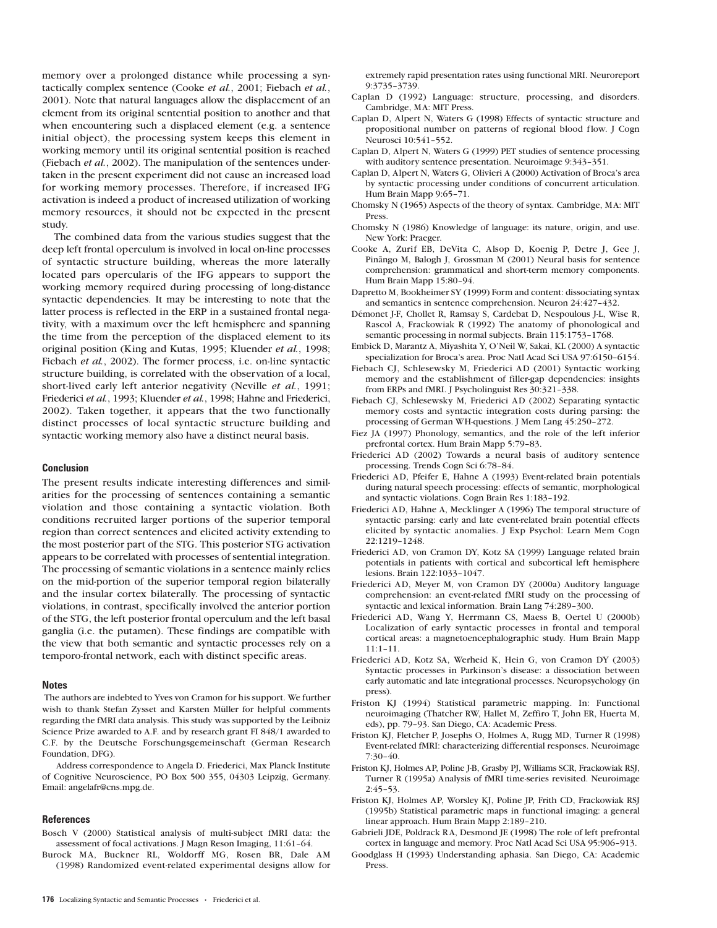memory over a prolonged distance while processing a syntactically complex sentence (Cooke *et al.*, 2001; Fiebach *et al.*, 2001). Note that natural languages allow the displacement of an element from its original sentential position to another and that when encountering such a displaced element (e.g. a sentence initial object), the processing system keeps this element in working memory until its original sentential position is reached (Fiebach *et al.*, 2002). The manipulation of the sentences undertaken in the present experiment did not cause an increased load for working memory processes. Therefore, if increased IFG activation is indeed a product of increased utilization of working memory resources, it should not be expected in the present study.

The combined data from the various studies suggest that the deep left frontal operculum is involved in local on-line processes of syntactic structure building, whereas the more laterally located pars opercularis of the IFG appears to support the working memory required during processing of long-distance syntactic dependencies. It may be interesting to note that the latter process is reflected in the ERP in a sustained frontal negativity, with a maximum over the left hemisphere and spanning the time from the perception of the displaced element to its original position (King and Kutas, 1995; Kluender *et al.*, 1998; Fiebach *et al.*, 2002). The former process, i.e. on-line syntactic structure building, is correlated with the observation of a local, short-lived early left anterior negativity (Neville *et al.*, 1991; Friederici *et al.*, 1993; Kluender *et al.*, 1998; Hahne and Friederici, 2002). Taken together, it appears that the two functionally distinct processes of local syntactic structure building and syntactic working memory also have a distinct neural basis.

### **Conclusion**

The present results indicate interesting differences and similarities for the processing of sentences containing a semantic violation and those containing a syntactic violation. Both conditions recruited larger portions of the superior temporal region than correct sentences and elicited activity extending to the most posterior part of the STG. This posterior STG activation appears to be correlated with processes of sentential integration. The processing of semantic violations in a sentence mainly relies on the mid-portion of the superior temporal region bilaterally and the insular cortex bilaterally. The processing of syntactic violations, in contrast, specifically involved the anterior portion of the STG, the left posterior frontal operculum and the left basal ganglia (i.e. the putamen). These findings are compatible with the view that both semantic and syntactic processes rely on a temporo-frontal network, each with distinct specific areas.

#### **Notes**

The authors are indebted to Yves von Cramon for his support. We further wish to thank Stefan Zysset and Karsten Müller for helpful comments regarding the fMRI data analysis. This study was supported by the Leibniz Science Prize awarded to A.F. and by research grant FI 848/1 awarded to C.F. by the Deutsche Forschungsgemeinschaft (German Research Foundation, DFG).

Address correspondence to Angela D. Friederici, Max Planck Institute of Cognitive Neuroscience, PO Box 500 355, 04303 Leipzig, Germany. Email: angelafr@cns.mpg.de.

#### **References**

- Bosch V (2000) Statistical analysis of multi-subject fMRI data: the assessment of focal activations. J Magn Reson Imaging, 11:61–64.
- Burock MA, Buckner RL, Woldorff MG, Rosen BR, Dale AM (1998) Randomized event-related experimental designs allow for

extremely rapid presentation rates using functional MRI. Neuroreport 9:3735–3739.

- Caplan D (1992) Language: structure, processing, and disorders. Cambridge, MA: MIT Press.
- Caplan D, Alpert N, Waters G (1998) Effects of syntactic structure and propositional number on patterns of regional blood flow. J Cogn Neurosci 10:541–552.
- Caplan D, Alpert N, Waters G (1999) PET studies of sentence processing with auditory sentence presentation. Neuroimage 9:343–351.
- Caplan D, Alpert N, Waters G, Olivieri A (2000) Activation of Broca's area by syntactic processing under conditions of concurrent articulation. Hum Brain Mapp 9:65–71.
- Chomsky N (1965) Aspects of the theory of syntax. Cambridge, MA: MIT **Press**
- Chomsky N (1986) Knowledge of language: its nature, origin, and use. New York: Praeger.
- Cooke A, Zurif EB, DeVita C, Alsop D, Koenig P, Detre J, Gee J, Pinãngo M, Balogh J, Grossman M (2001) Neural basis for sentence comprehension: grammatical and short-term memory components. Hum Brain Mapp 15:80–94.
- Dapretto M, Bookheimer SY (1999) Form and content: dissociating syntax and semantics in sentence comprehension. Neuron 24:427–432.
- Démonet J-F, Chollet R, Ramsay S, Cardebat D, Nespoulous J-L, Wise R, Rascol A, Frackowiak R (1992) The anatomy of phonological and semantic processing in normal subjects. Brain 115:1753–1768.
- Embick D, Marantz A, Miyashita Y, O'Neil W, Sakai, KL (2000) A syntactic specialization for Broca's area. Proc Natl Acad Sci USA 97:6150–6154.
- Fiebach CJ, Schlesewsky M, Friederici AD (2001) Syntactic working memory and the establishment of filler-gap dependencies: insights from ERPs and fMRI. J Psycholinguist Res 30:321–338.
- Fiebach CJ, Schlesewsky M, Friederici AD (2002) Separating syntactic memory costs and syntactic integration costs during parsing: the processing of German WH-questions. J Mem Lang 45:250–272.
- Fiez JA (1997) Phonology, semantics, and the role of the left inferior prefrontal cortex. Hum Brain Mapp 5:79–83.
- Friederici AD (2002) Towards a neural basis of auditory sentence processing. Trends Cogn Sci 6:78–84.
- Friederici AD, Pfeifer E, Hahne A (1993) Event-related brain potentials during natural speech processing: effects of semantic, morphological and syntactic violations. Cogn Brain Res 1:183–192.
- Friederici AD, Hahne A, Mecklinger A (1996) The temporal structure of syntactic parsing: early and late event-related brain potential effects elicited by syntactic anomalies. J Exp Psychol: Learn Mem Cogn 22:1219–1248.
- Friederici AD, von Cramon DY, Kotz SA (1999) Language related brain potentials in patients with cortical and subcortical left hemisphere lesions. Brain 122:1033–1047.
- Friederici AD, Meyer M, von Cramon DY (2000a) Auditory language comprehension: an event-related fMRI study on the processing of syntactic and lexical information. Brain Lang 74:289–300.
- Friederici AD, Wang Y, Herrmann CS, Maess B, Oertel U (2000b) Localization of early syntactic processes in frontal and temporal cortical areas: a magnetoencephalographic study. Hum Brain Mapp 11:1–11.
- Friederici AD, Kotz SA, Werheid K, Hein G, von Cramon DY (2003) Syntactic processes in Parkinson's disease: a dissociation between early automatic and late integrational processes. Neuropsychology (in press).
- Friston KJ (1994) Statistical parametric mapping. In: Functional neuroimaging (Thatcher RW, Hallet M, Zeffiro T, John ER, Huerta M, eds), pp. 79–93. San Diego, CA: Academic Press.
- Friston KJ, Fletcher P, Josephs O, Holmes A, Rugg MD, Turner R (1998) Event-related fMRI: characterizing differential responses. Neuroimage 7:30–40.
- Friston KJ, Holmes AP, Poline J-B, Grasby PJ, Williams SCR, Frackowiak RSJ, Turner R (1995a) Analysis of fMRI time-series revisited. Neuroimage 2:45–53.
- Friston KJ, Holmes AP, Worsley KJ, Poline JP, Frith CD, Frackowiak RSJ (1995b) Statistical parametric maps in functional imaging: a general linear approach. Hum Brain Mapp 2:189–210.
- Gabrieli JDE, Poldrack RA, Desmond JE (1998) The role of left prefrontal cortex in language and memory. Proc Natl Acad Sci USA 95:906–913.
- Goodglass H (1993) Understanding aphasia. San Diego, CA: Academic Press.